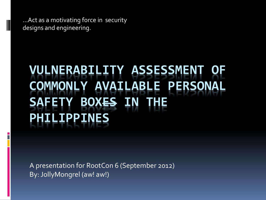…Act as a motivating force in security designs and engineering.

# **VULNERABILITY ASSESSMENT OF COMMONLY AVAILABLE PERSONAL SAFETY BOXES IN THE PHILIPPINES**

A presentation for RootCon 6 (September 2012) By: JollyMongrel (aw! aw!)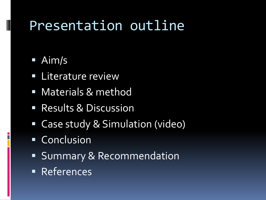### Presentation outline

### Aim/s

- **ELiterature review**
- **Materials & method**
- **Results & Discussion**
- Case study & Simulation (video)
- **Conclusion**
- **Summary & Recommendation**
- **References**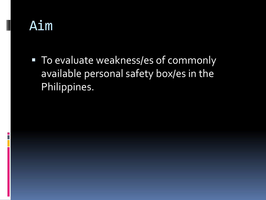### Aim

■ To evaluate weakness/es of commonly available personal safety box/es in the Philippines.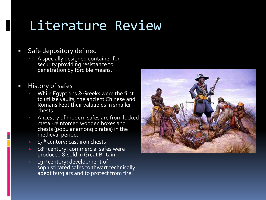- **Safe depository defined** 
	- A specially designed container for security providing resistance to penetration by forcible means.
- **History of safes**

- □ While Egyptians & Greeks were the first to utilize vaults, the ancient Chinese and Romans kept their valuables in smaller chests.
- Ancestry of modern safes are from locked metal-reinforced wooden boxes and chests (popular among pirates) in the medieval period.
- 17<sup>th</sup> century: cast iron chests
- <sup>18th</sup> century: commercial safes were produced & sold in Great Britain.
- 19<sup>th</sup> century: development of sophisticated safes to thwart technically adept burglars and to protect from fire.

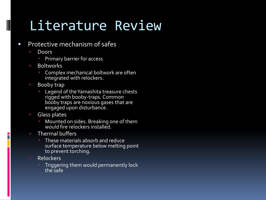- **Protective mechanism of safes** 
	- Doors

- **Primary barrier for access**
- Boltworks
	- Complex mechanical boltwork are often integrated with relockers.
- Booby trap
	- **Legend of the Yamashita treasure chests** rigged with booby-traps. Common booby traps are noxious gases that are engaged upon disturbance.
- □ Glass plates
	- Mounted on sides. Breaking one of them would fire relockers installed.
- **E** Thermal buffers
	- **These materials absorb and reduce** surface temperature below melting point to prevent torching.
- Relockers
	- Triggering them would permanently lock the safe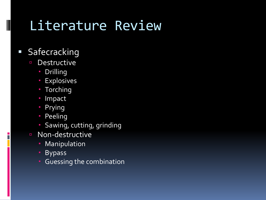### **Safecracking**

- Destructive
	- **Drilling**
	- **Explosives**
	- **Torching**
	- **Impact**
	- **Prying**
	- **Peeling**
	- **Sawing, cutting, grinding**
- Non-destructive
	- **Manipulation**
	- **Bypass**
	- **Guessing the combination**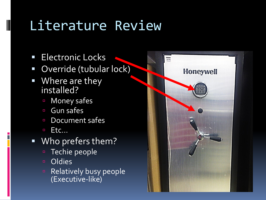**Electronic Locks** 

- **Override (tubular lock)**
- **Where are they** installed?
	- **In Money safes**
	- Gun safes
	- Document safes
	- $E$ **Etc...**
- Who prefers them?
	- Techie people
	- Oldies
	- **Relatively busy people** (Executive-like)

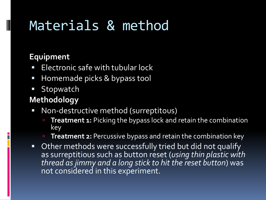#### **Equipment**

- Electronic safe with tubular lock
- Homemade picks & bypass tool
- **Stopwatch**

#### **Methodology**

- Non-destructive method (surreptitous)
	- **Treatment 1:** Picking the bypass lock and retain the combination key
	- **Treatment 2:** Percussive bypass and retain the combination key
- Other methods were successfully tried but did not qualify as surreptitious such as button reset (*using thin plastic with thread as jimmy and a long stick to hit the reset button*) was not considered in this experiment.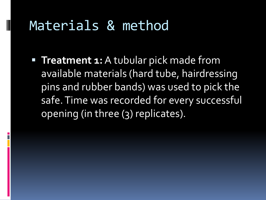**Treatment 1:** A tubular pick made from available materials (hard tube, hairdressing pins and rubber bands) was used to pick the safe. Time was recorded for every successful opening (in three (3) replicates).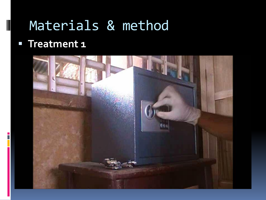#### **Treatment 1**

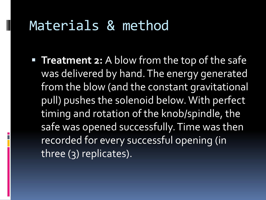**Treatment 2:** A blow from the top of the safe was delivered by hand. The energy generated from the blow (and the constant gravitational pull) pushes the solenoid below. With perfect timing and rotation of the knob/spindle, the safe was opened successfully. Time was then recorded for every successful opening (in three (3) replicates).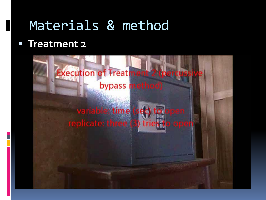#### **Treatment 2**

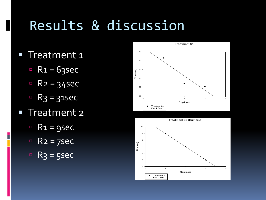## Results & discussion

**Treatment 1** 

- $R_1 = 63$ sec
- $R_2 = 34$ sec
- $R_3 = 31$ sec
- **Treatment 2** 
	- $R_1 = gsec$
	- $R_2 = 7$ sec
	- $R_3 = 5$ sec



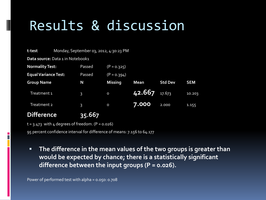### Results & discussion

| t-test                      | Monday, September 03, 2012, 4:30:23 PM |                |                |             |                |            |
|-----------------------------|----------------------------------------|----------------|----------------|-------------|----------------|------------|
|                             | Data source: Data 1 in Notebook1       |                |                |             |                |            |
| <b>Normality Test:</b>      |                                        | Passed         | $(P = 0.325)$  |             |                |            |
| <b>Equal Variance Test:</b> |                                        | Passed         | $(P = 0.394)$  |             |                |            |
| <b>Group Name</b>           |                                        | N              | <b>Missing</b> | <b>Mean</b> | <b>Std Dev</b> | <b>SEM</b> |
| Treatment 1                 |                                        | $\overline{3}$ | $\circ$        | 42.667      | 17.673         | 10.203     |
| Treatment 2                 |                                        | $\overline{3}$ | $\circ$        | 7.000       | 2.000          | 1.155      |
| <b>Difference</b>           |                                        | 35.667         |                |             |                |            |

 $t = 3.473$  with 4 degrees of freedom. (P = 0.026)

95 percent confidence interval for difference of means: 7.156 to 64.177

 **The difference in the mean values of the two groups is greater than would be expected by chance; there is a statistically significant difference between the input groups (P = 0.026).**

Power of performed test with alpha = 0.050: 0.708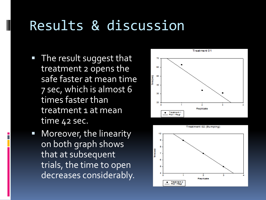## Results & discussion

**The result suggest that** treatment 2 opens the safe faster at mean time 7 sec, which is almost 6 times faster than treatment 1 at mean time 42 sec.

 Moreover, the linearity on both graph shows that at subsequent trials, the time to open decreases considerably.



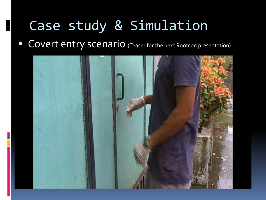# Case study & Simulation

**COVERT ENTRY SCENATIO** (Teaser for the next Rootcon presentation)

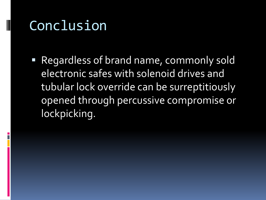## Conclusion

 Regardless of brand name, commonly sold electronic safes with solenoid drives and tubular lock override can be surreptitiously opened through percussive compromise or lockpicking.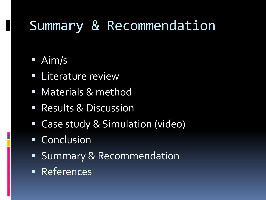### Summary & Recommendation

### Aim/s

- **ELiterature review**
- **Materials & method**
- **Results & Discussion**
- Case study & Simulation (video)
- **Conclusion**
- **Summary & Recommendation**
- **References**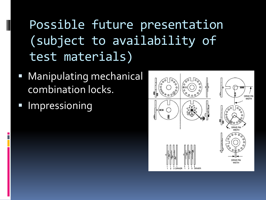## Possible future presentation (subject to availability of test materials)

- Manipulating mechanical combination locks.
- Impressioning